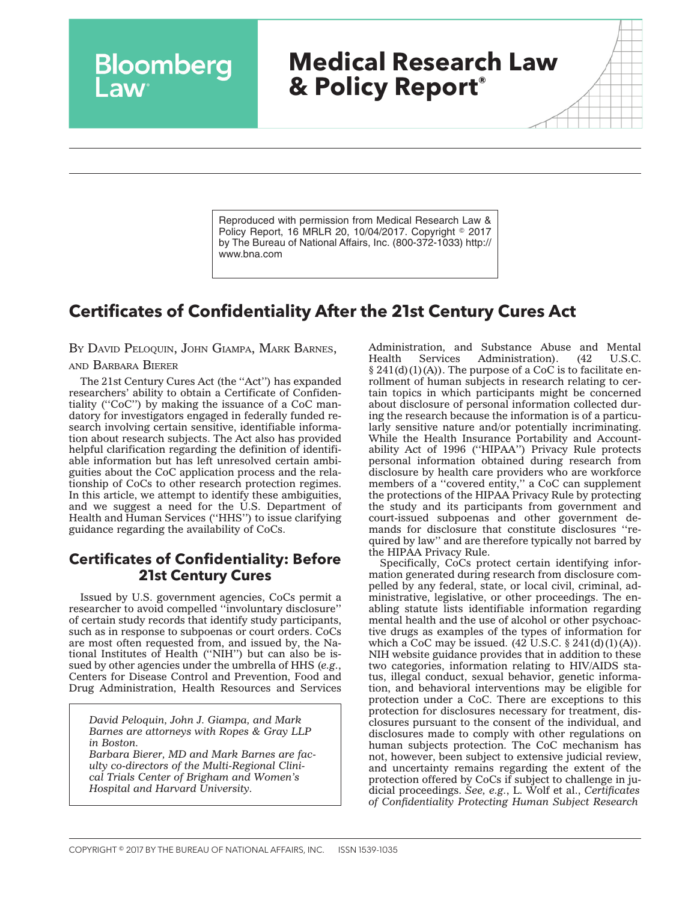# **Medical Research Law & Policy Report®**

Reproduced with permission from Medical Research Law & Policy Report, 16 MRLR 20, 10/04/2017. Copyright © 2017 by The Bureau of National Affairs, Inc. (800-372-1033) http:// www.bna.com

## **Certificates of Confidentiality After the 21st Century Cures Act**

BY DAVID PELOQUIN, JOHN GIAMPA, MARK BARNES,

Bloomberg

#### AND BARBARA BIERER

The 21st Century Cures Act (the ''Act'') has expanded researchers' ability to obtain a Certificate of Confidentiality (''CoC'') by making the issuance of a CoC mandatory for investigators engaged in federally funded research involving certain sensitive, identifiable information about research subjects. The Act also has provided helpful clarification regarding the definition of identifiable information but has left unresolved certain ambiguities about the CoC application process and the relationship of CoCs to other research protection regimes. In this article, we attempt to identify these ambiguities, and we suggest a need for the U.S. Department of Health and Human Services (''HHS'') to issue clarifying guidance regarding the availability of CoCs.

#### **Certificates of Confidentiality: Before 21st Century Cures**

Issued by U.S. government agencies, CoCs permit a researcher to avoid compelled ''involuntary disclosure'' of certain study records that identify study participants, such as in response to subpoenas or court orders. CoCs are most often requested from, and issued by, the National Institutes of Health (''NIH'') but can also be issued by other agencies under the umbrella of HHS (*e.g.*, Centers for Disease Control and Prevention, Food and Drug Administration, Health Resources and Services

*David Peloquin, John J. Giampa, and Mark Barnes are attorneys with Ropes & Gray LLP in Boston.*

*Barbara Bierer, MD and Mark Barnes are faculty co-directors of the Multi-Regional Clinical Trials Center of Brigham and Women's Hospital and Harvard University.*

Administration, and Substance Abuse and Mental<br>Health Services Administration). (42 U.S.C. Administration).  $§$  241(d)(1)(A)). The purpose of a CoC is to facilitate enrollment of human subjects in research relating to certain topics in which participants might be concerned about disclosure of personal information collected during the research because the information is of a particularly sensitive nature and/or potentially incriminating. While the Health Insurance Portability and Accountability Act of 1996 (''HIPAA'') Privacy Rule protects personal information obtained during research from disclosure by health care providers who are workforce members of a "covered entity," a CoC can supplement the protections of the HIPAA Privacy Rule by protecting the study and its participants from government and court-issued subpoenas and other government demands for disclosure that constitute disclosures ''required by law'' and are therefore typically not barred by the HIPAA Privacy Rule.

Specifically, CoCs protect certain identifying information generated during research from disclosure compelled by any federal, state, or local civil, criminal, administrative, legislative, or other proceedings. The enabling statute lists identifiable information regarding mental health and the use of alcohol or other psychoactive drugs as examples of the types of information for which a CoC may be issued.  $(42 \text{ U.S.C. } § 241(d)(1)(A)).$ NIH website guidance provides that in addition to these two categories, information relating to HIV/AIDS status, illegal conduct, sexual behavior, genetic information, and behavioral interventions may be eligible for protection under a CoC. There are exceptions to this protection for disclosures necessary for treatment, disclosures pursuant to the consent of the individual, and disclosures made to comply with other regulations on human subjects protection. The CoC mechanism has not, however, been subject to extensive judicial review, and uncertainty remains regarding the extent of the protection offered by CoCs if subject to challenge in judicial proceedings. *See, e.g.*, L. Wolf et al., *Certificates of Confidentiality Protecting Human Subject Research*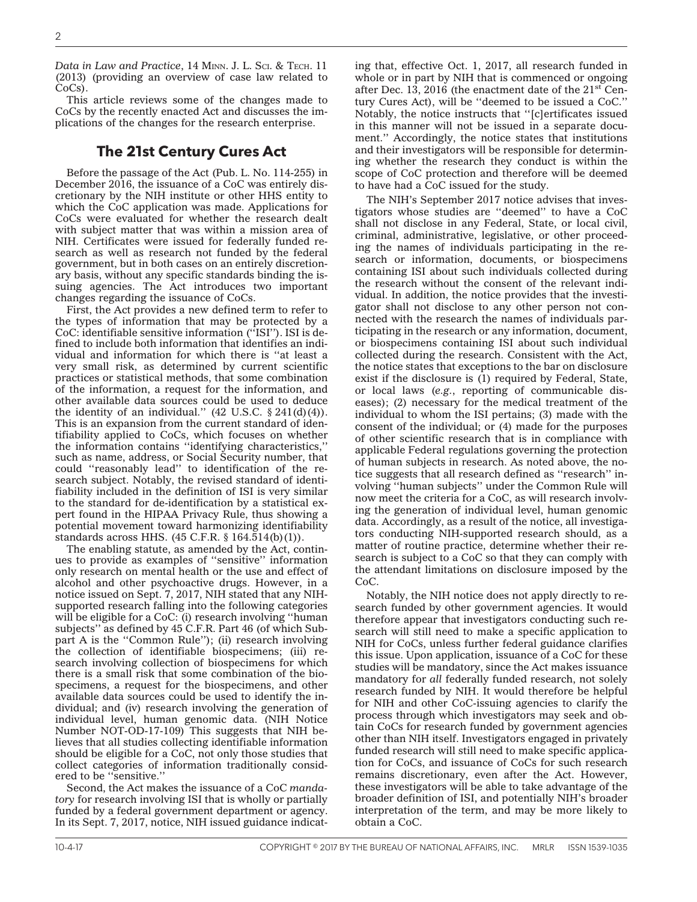Data in Law and Practice, 14 MINN. J. L. Sci. & Tech. 11 (2013) (providing an overview of case law related to CoCs).

This article reviews some of the changes made to CoCs by the recently enacted Act and discusses the implications of the changes for the research enterprise.

#### **The 21st Century Cures Act**

Before the passage of the Act (Pub. L. No. 114-255) in December 2016, the issuance of a CoC was entirely discretionary by the NIH institute or other HHS entity to which the CoC application was made. Applications for CoCs were evaluated for whether the research dealt with subject matter that was within a mission area of NIH. Certificates were issued for federally funded research as well as research not funded by the federal government, but in both cases on an entirely discretionary basis, without any specific standards binding the issuing agencies. The Act introduces two important changes regarding the issuance of CoCs.

First, the Act provides a new defined term to refer to the types of information that may be protected by a CoC: identifiable sensitive information (''ISI''). ISI is defined to include both information that identifies an individual and information for which there is ''at least a very small risk, as determined by current scientific practices or statistical methods, that some combination of the information, a request for the information, and other available data sources could be used to deduce the identity of an individual."  $(42 \text{ U.S.C. } § 241(d)(4))$ . This is an expansion from the current standard of identifiability applied to CoCs, which focuses on whether the information contains ''identifying characteristics,'' such as name, address, or Social Security number, that could ''reasonably lead'' to identification of the research subject. Notably, the revised standard of identifiability included in the definition of ISI is very similar to the standard for de-identification by a statistical expert found in the HIPAA Privacy Rule, thus showing a potential movement toward harmonizing identifiability standards across HHS. (45 C.F.R. § 164.514(b)(1)).

The enabling statute, as amended by the Act, continues to provide as examples of ''sensitive'' information only research on mental health or the use and effect of alcohol and other psychoactive drugs. However, in a notice issued on Sept. 7, 2017, NIH stated that any NIHsupported research falling into the following categories will be eligible for a CoC: (i) research involving ''human subjects'' as defined by 45 C.F.R. Part 46 (of which Subpart A is the ''Common Rule''); (ii) research involving the collection of identifiable biospecimens; (iii) research involving collection of biospecimens for which there is a small risk that some combination of the biospecimens, a request for the biospecimens, and other available data sources could be used to identify the individual; and (iv) research involving the generation of individual level, human genomic data. (NIH Notice Number NOT-OD-17-109) This suggests that NIH believes that all studies collecting identifiable information should be eligible for a CoC, not only those studies that collect categories of information traditionally considered to be ''sensitive.''

Second, the Act makes the issuance of a CoC *mandatory* for research involving ISI that is wholly or partially funded by a federal government department or agency. In its Sept. 7, 2017, notice, NIH issued guidance indicating that, effective Oct. 1, 2017, all research funded in whole or in part by NIH that is commenced or ongoing after Dec. 13, 2016 (the enactment date of the  $21<sup>st</sup>$  Century Cures Act), will be ''deemed to be issued a CoC.'' Notably, the notice instructs that ''[c]ertificates issued in this manner will not be issued in a separate document.'' Accordingly, the notice states that institutions and their investigators will be responsible for determining whether the research they conduct is within the scope of CoC protection and therefore will be deemed to have had a CoC issued for the study.

The NIH's September 2017 notice advises that investigators whose studies are ''deemed'' to have a CoC shall not disclose in any Federal, State, or local civil, criminal, administrative, legislative, or other proceeding the names of individuals participating in the research or information, documents, or biospecimens containing ISI about such individuals collected during the research without the consent of the relevant individual. In addition, the notice provides that the investigator shall not disclose to any other person not connected with the research the names of individuals participating in the research or any information, document, or biospecimens containing ISI about such individual collected during the research. Consistent with the Act, the notice states that exceptions to the bar on disclosure exist if the disclosure is (1) required by Federal, State, or local laws (*e.g.*, reporting of communicable diseases); (2) necessary for the medical treatment of the individual to whom the ISI pertains; (3) made with the consent of the individual; or (4) made for the purposes of other scientific research that is in compliance with applicable Federal regulations governing the protection of human subjects in research. As noted above, the notice suggests that all research defined as ''research'' involving ''human subjects'' under the Common Rule will now meet the criteria for a CoC, as will research involving the generation of individual level, human genomic data. Accordingly, as a result of the notice, all investigators conducting NIH-supported research should, as a matter of routine practice, determine whether their research is subject to a CoC so that they can comply with the attendant limitations on disclosure imposed by the CoC.

Notably, the NIH notice does not apply directly to research funded by other government agencies. It would therefore appear that investigators conducting such research will still need to make a specific application to NIH for CoCs, unless further federal guidance clarifies this issue. Upon application, issuance of a CoC for these studies will be mandatory, since the Act makes issuance mandatory for *all* federally funded research, not solely research funded by NIH. It would therefore be helpful for NIH and other CoC-issuing agencies to clarify the process through which investigators may seek and obtain CoCs for research funded by government agencies other than NIH itself. Investigators engaged in privately funded research will still need to make specific application for CoCs, and issuance of CoCs for such research remains discretionary, even after the Act. However, these investigators will be able to take advantage of the broader definition of ISI, and potentially NIH's broader interpretation of the term, and may be more likely to obtain a CoC.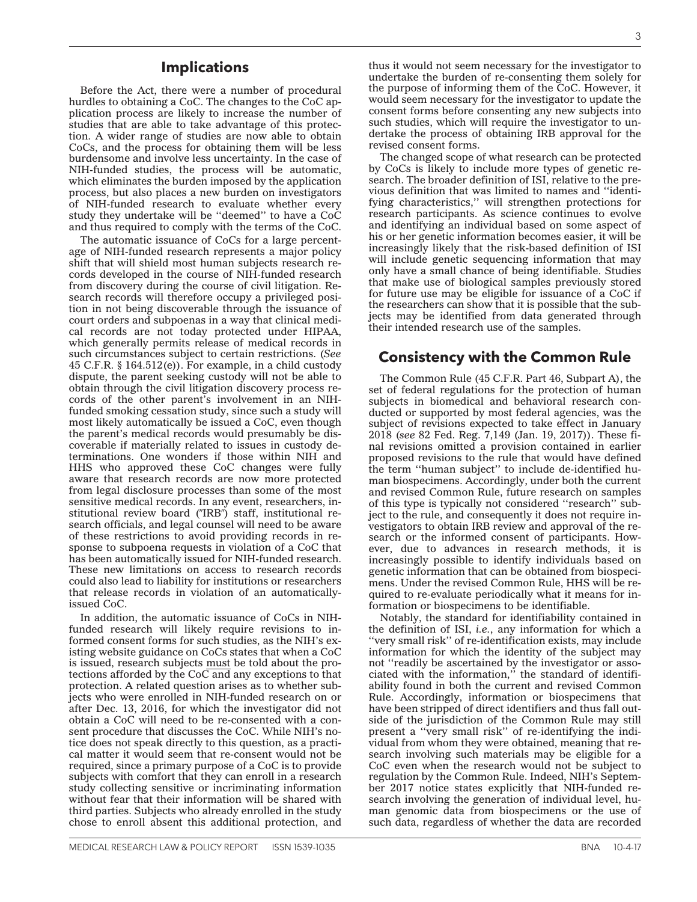#### **Implications**

Before the Act, there were a number of procedural hurdles to obtaining a CoC. The changes to the CoC application process are likely to increase the number of studies that are able to take advantage of this protection. A wider range of studies are now able to obtain CoCs, and the process for obtaining them will be less burdensome and involve less uncertainty. In the case of NIH-funded studies, the process will be automatic, which eliminates the burden imposed by the application process, but also places a new burden on investigators of NIH-funded research to evaluate whether every study they undertake will be "deemed" to have a CoC and thus required to comply with the terms of the CoC.

The automatic issuance of CoCs for a large percentage of NIH-funded research represents a major policy shift that will shield most human subjects research records developed in the course of NIH-funded research from discovery during the course of civil litigation. Research records will therefore occupy a privileged position in not being discoverable through the issuance of court orders and subpoenas in a way that clinical medical records are not today protected under HIPAA, which generally permits release of medical records in such circumstances subject to certain restrictions. (*See* 45 C.F.R. § 164.512(e)). For example, in a child custody dispute, the parent seeking custody will not be able to obtain through the civil litigation discovery process records of the other parent's involvement in an NIHfunded smoking cessation study, since such a study will most likely automatically be issued a CoC, even though the parent's medical records would presumably be discoverable if materially related to issues in custody determinations. One wonders if those within NIH and HHS who approved these CoC changes were fully aware that research records are now more protected from legal disclosure processes than some of the most sensitive medical records. In any event, researchers, institutional review board ("IRB") staff, institutional research officials, and legal counsel will need to be aware of these restrictions to avoid providing records in response to subpoena requests in violation of a CoC that has been automatically issued for NIH-funded research. These new limitations on access to research records could also lead to liability for institutions or researchers that release records in violation of an automaticallyissued CoC.

In addition, the automatic issuance of CoCs in NIHfunded research will likely require revisions to informed consent forms for such studies, as the NIH's existing website guidance on CoCs states that when a CoC is issued, research subjects must be told about the protections afforded by the CoC and any exceptions to that protection. A related question arises as to whether subjects who were enrolled in NIH-funded research on or after Dec. 13, 2016, for which the investigator did not obtain a CoC will need to be re-consented with a consent procedure that discusses the CoC. While NIH's notice does not speak directly to this question, as a practical matter it would seem that re-consent would not be required, since a primary purpose of a CoC is to provide subjects with comfort that they can enroll in a research study collecting sensitive or incriminating information without fear that their information will be shared with third parties. Subjects who already enrolled in the study chose to enroll absent this additional protection, and

thus it would not seem necessary for the investigator to undertake the burden of re-consenting them solely for the purpose of informing them of the CoC. However, it would seem necessary for the investigator to update the consent forms before consenting any new subjects into such studies, which will require the investigator to undertake the process of obtaining IRB approval for the revised consent forms.

The changed scope of what research can be protected by CoCs is likely to include more types of genetic research. The broader definition of ISI, relative to the previous definition that was limited to names and ''identifying characteristics,'' will strengthen protections for research participants. As science continues to evolve and identifying an individual based on some aspect of his or her genetic information becomes easier, it will be increasingly likely that the risk-based definition of ISI will include genetic sequencing information that may only have a small chance of being identifiable. Studies that make use of biological samples previously stored for future use may be eligible for issuance of a CoC if the researchers can show that it is possible that the subjects may be identified from data generated through their intended research use of the samples.

#### **Consistency with the Common Rule**

The Common Rule (45 C.F.R. Part 46, Subpart A), the set of federal regulations for the protection of human subjects in biomedical and behavioral research conducted or supported by most federal agencies, was the subject of revisions expected to take effect in January 2018 (*see* 82 Fed. Reg. 7,149 (Jan. 19, 2017)). These final revisions omitted a provision contained in earlier proposed revisions to the rule that would have defined the term ''human subject'' to include de-identified human biospecimens. Accordingly, under both the current and revised Common Rule, future research on samples of this type is typically not considered ''research'' subject to the rule, and consequently it does not require investigators to obtain IRB review and approval of the research or the informed consent of participants. However, due to advances in research methods, it is increasingly possible to identify individuals based on genetic information that can be obtained from biospecimens. Under the revised Common Rule, HHS will be required to re-evaluate periodically what it means for information or biospecimens to be identifiable.

Notably, the standard for identifiability contained in the definition of ISI, *i.e.*, any information for which a ''very small risk'' of re-identification exists, may include information for which the identity of the subject may not ''readily be ascertained by the investigator or associated with the information,'' the standard of identifiability found in both the current and revised Common Rule. Accordingly, information or biospecimens that have been stripped of direct identifiers and thus fall outside of the jurisdiction of the Common Rule may still present a ''very small risk'' of re-identifying the individual from whom they were obtained, meaning that research involving such materials may be eligible for a CoC even when the research would not be subject to regulation by the Common Rule. Indeed, NIH's September 2017 notice states explicitly that NIH-funded research involving the generation of individual level, human genomic data from biospecimens or the use of such data, regardless of whether the data are recorded